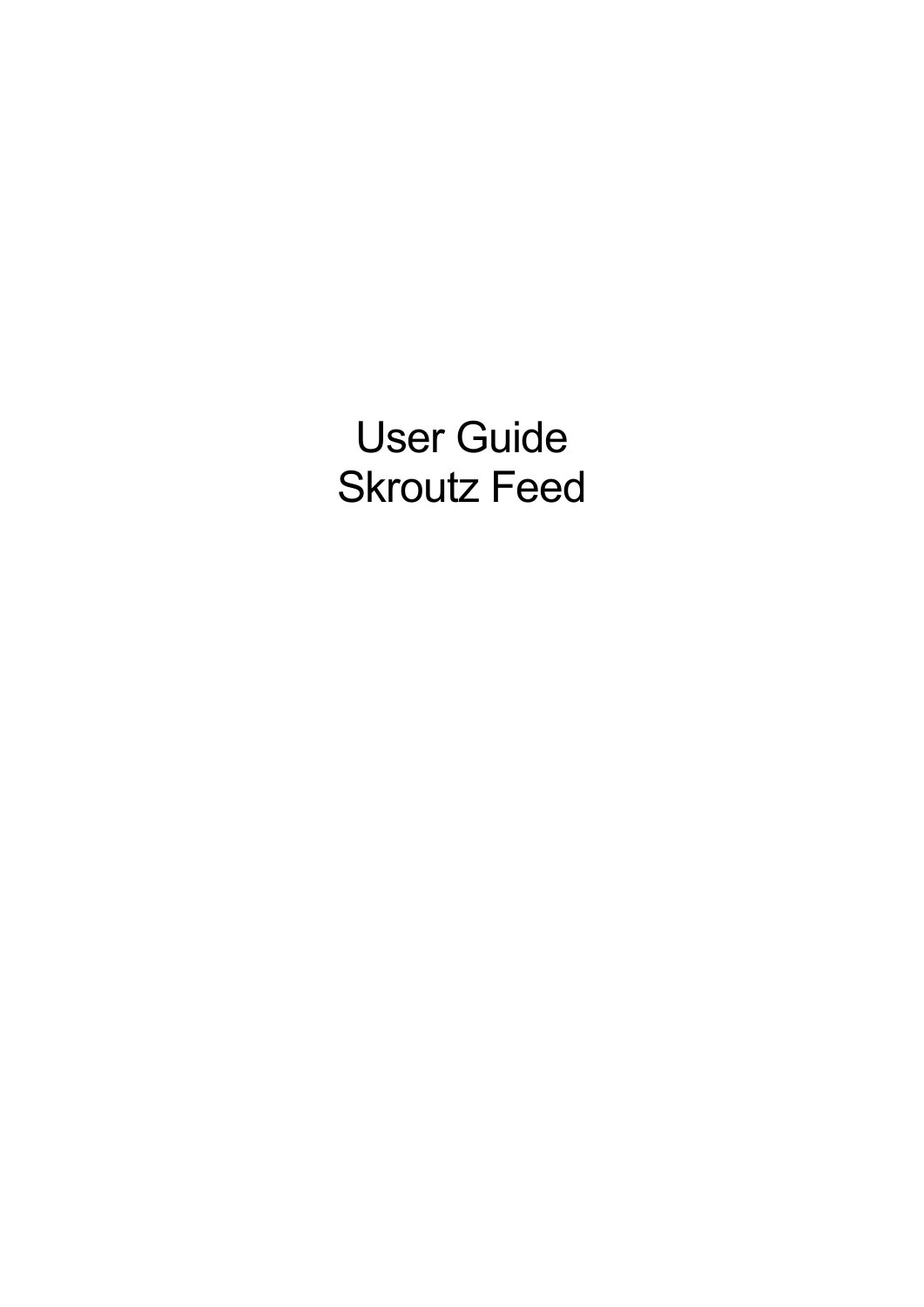User Guide Skroutz Feed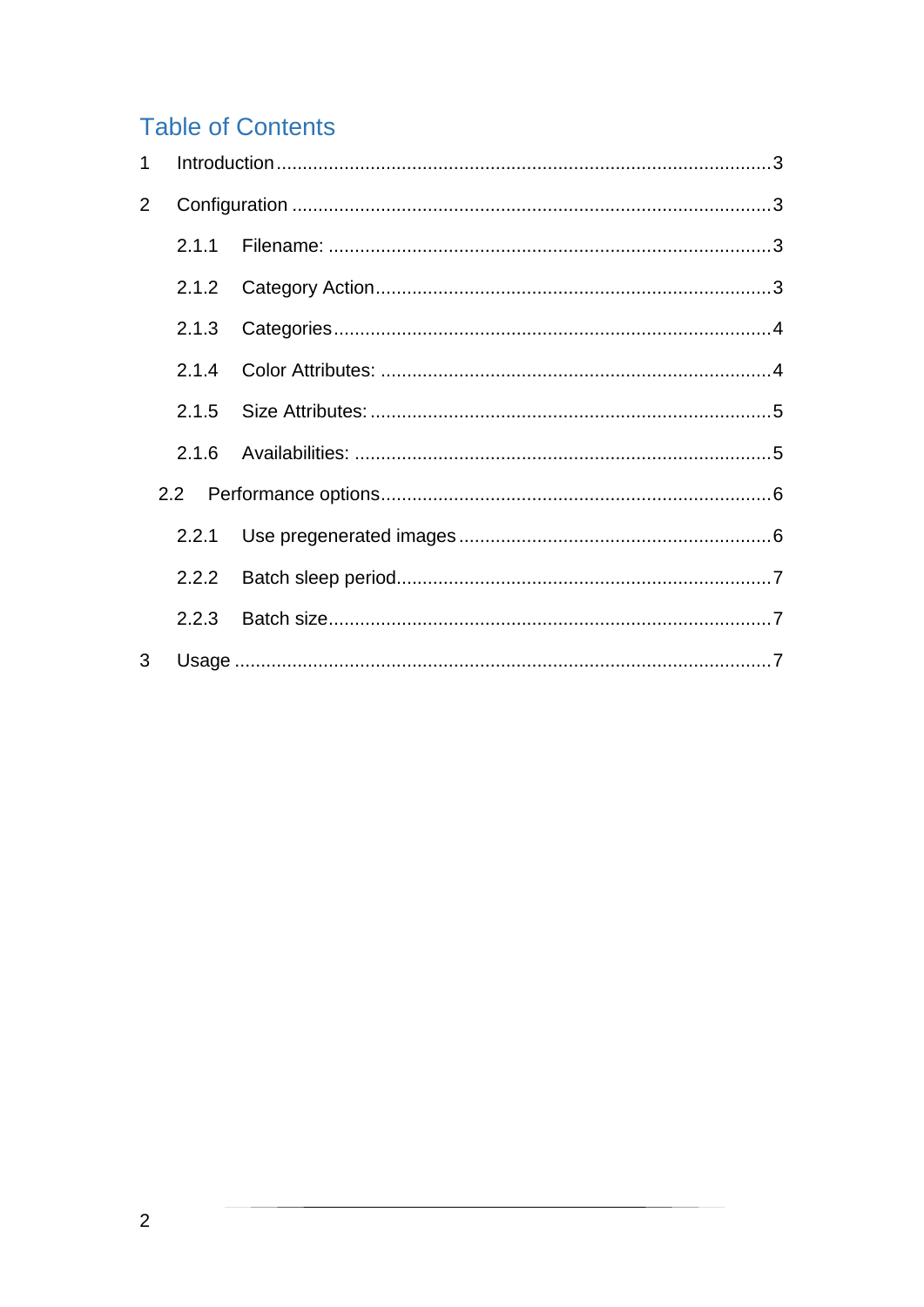# **Table of Contents**

| 2 |       |  |
|---|-------|--|
|   |       |  |
|   |       |  |
|   | 2.1.3 |  |
|   |       |  |
|   |       |  |
|   |       |  |
|   |       |  |
|   |       |  |
|   |       |  |
|   |       |  |
| 3 |       |  |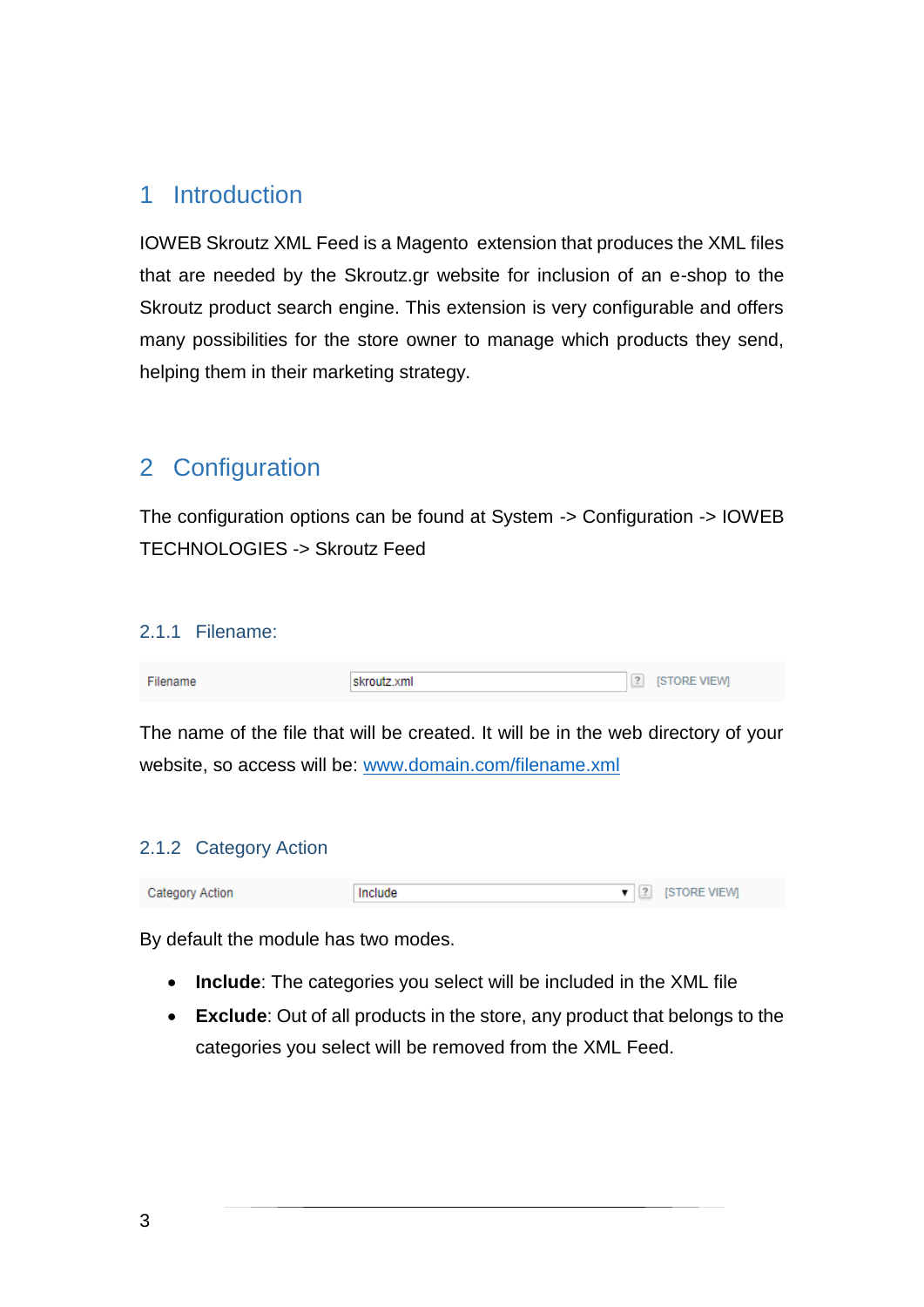# <span id="page-2-0"></span>1 Introduction

IOWEB Skroutz XML Feed is a Magento extension that produces the XML files that are needed by the Skroutz.gr website for inclusion of an e-shop to the Skroutz product search engine. This extension is very configurable and offers many possibilities for the store owner to manage which products they send, helping them in their marketing strategy.

# <span id="page-2-1"></span>2 Configuration

The configuration options can be found at System -> Configuration -> IOWEB TECHNOLOGIES -> Skroutz Feed

#### <span id="page-2-2"></span>2.1.1 Filename:

| Filename | skroutz xml | 2 [STORE VIEW] |
|----------|-------------|----------------|
|          |             |                |

The name of the file that will be created. It will be in the web directory of your website, so access will be: [www.domain.com/filename.xml](http://www.domain.com/filename.xml)

## <span id="page-2-3"></span>2.1.2 Category Action

| Category Action | Include | $\bullet$   $\left  \begin{smallmatrix} 2 \end{smallmatrix} \right $ STORE VIEW |
|-----------------|---------|---------------------------------------------------------------------------------|

By default the module has two modes.

- **Include**: The categories you select will be included in the XML file
- **Exclude**: Out of all products in the store, any product that belongs to the categories you select will be removed from the XML Feed.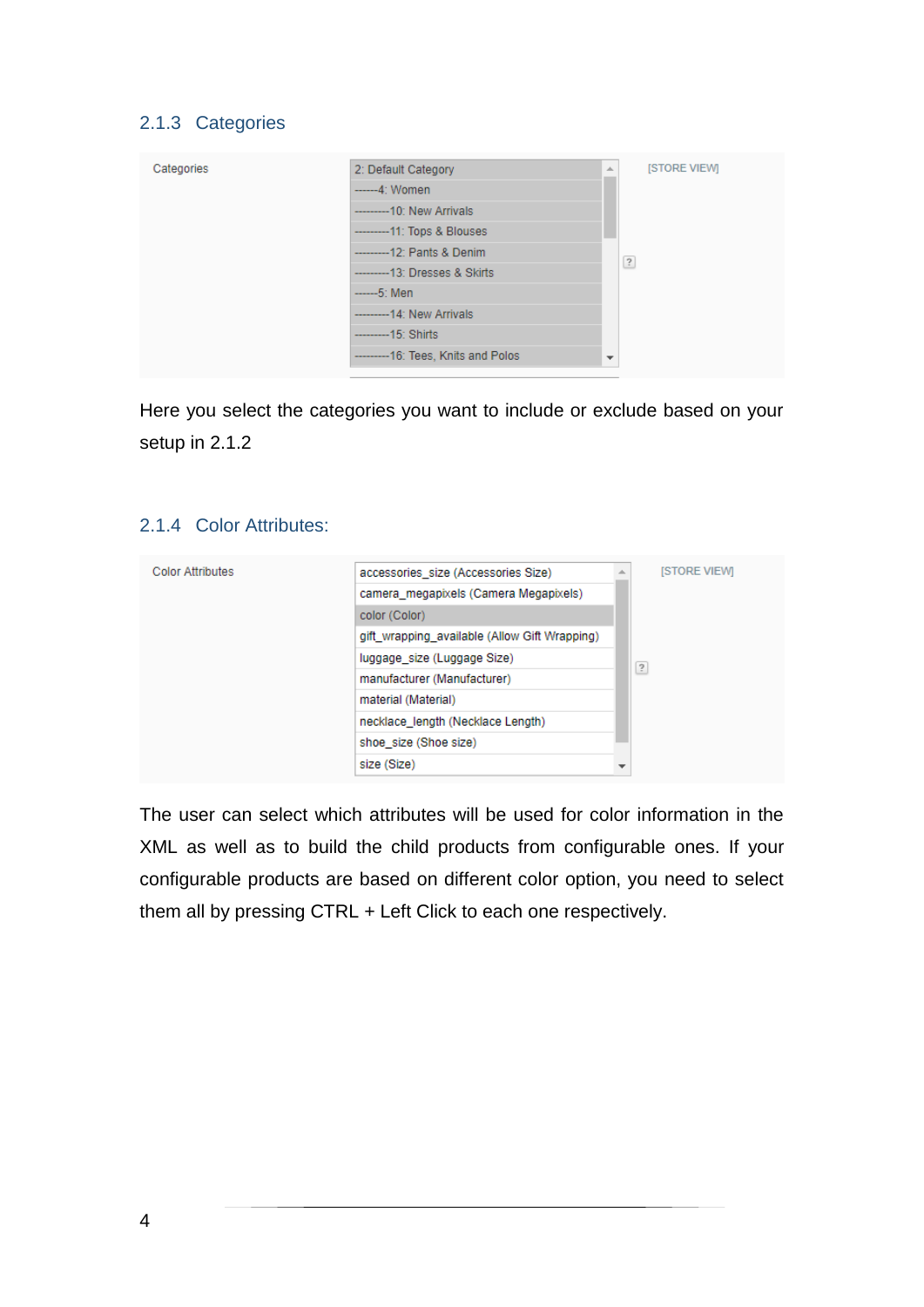# <span id="page-3-0"></span>2.1.3 Categories

| Categories | 2: Default Category                   | 业                        | <b>ISTORE VIEWI</b> |
|------------|---------------------------------------|--------------------------|---------------------|
|            | -------4: Women                       |                          |                     |
|            | ----------10: New Arrivals            |                          |                     |
|            | -----------11: Tops & Blouses         |                          |                     |
|            | -----------12: Pants & Denim          |                          | $\overline{?}$      |
|            | ------------13: Dresses & Skirts      |                          |                     |
|            | $---5$ : Men                          |                          |                     |
|            | ----------- 14: New Arrivals          |                          |                     |
|            | ------------15: Shirts                |                          |                     |
|            | ----------- 16: Tees, Knits and Polos | $\overline{\phantom{a}}$ |                     |

Here you select the categories you want to include or exclude based on your setup in [2.1.2](#page-2-3)

#### <span id="page-3-1"></span>2.1.4 Color Attributes:

| <b>Color Attributes</b> | accessories size (Accessories Size)           | <b>ISTORE VIEWI</b> |
|-------------------------|-----------------------------------------------|---------------------|
|                         |                                               |                     |
|                         | camera_megapixels (Camera Megapixels)         |                     |
|                         | color (Color)                                 |                     |
|                         | gift_wrapping_available (Allow Gift Wrapping) |                     |
|                         | luggage_size (Luggage Size)                   | $\overline{?}$      |
|                         | manufacturer (Manufacturer)                   |                     |
|                         | material (Material)                           |                     |
|                         | necklace_length (Necklace Length)             |                     |
|                         | shoe size (Shoe size)                         |                     |
|                         | size (Size)                                   |                     |

The user can select which attributes will be used for color information in the XML as well as to build the child products from configurable ones. If your configurable products are based on different color option, you need to select them all by pressing CTRL + Left Click to each one respectively.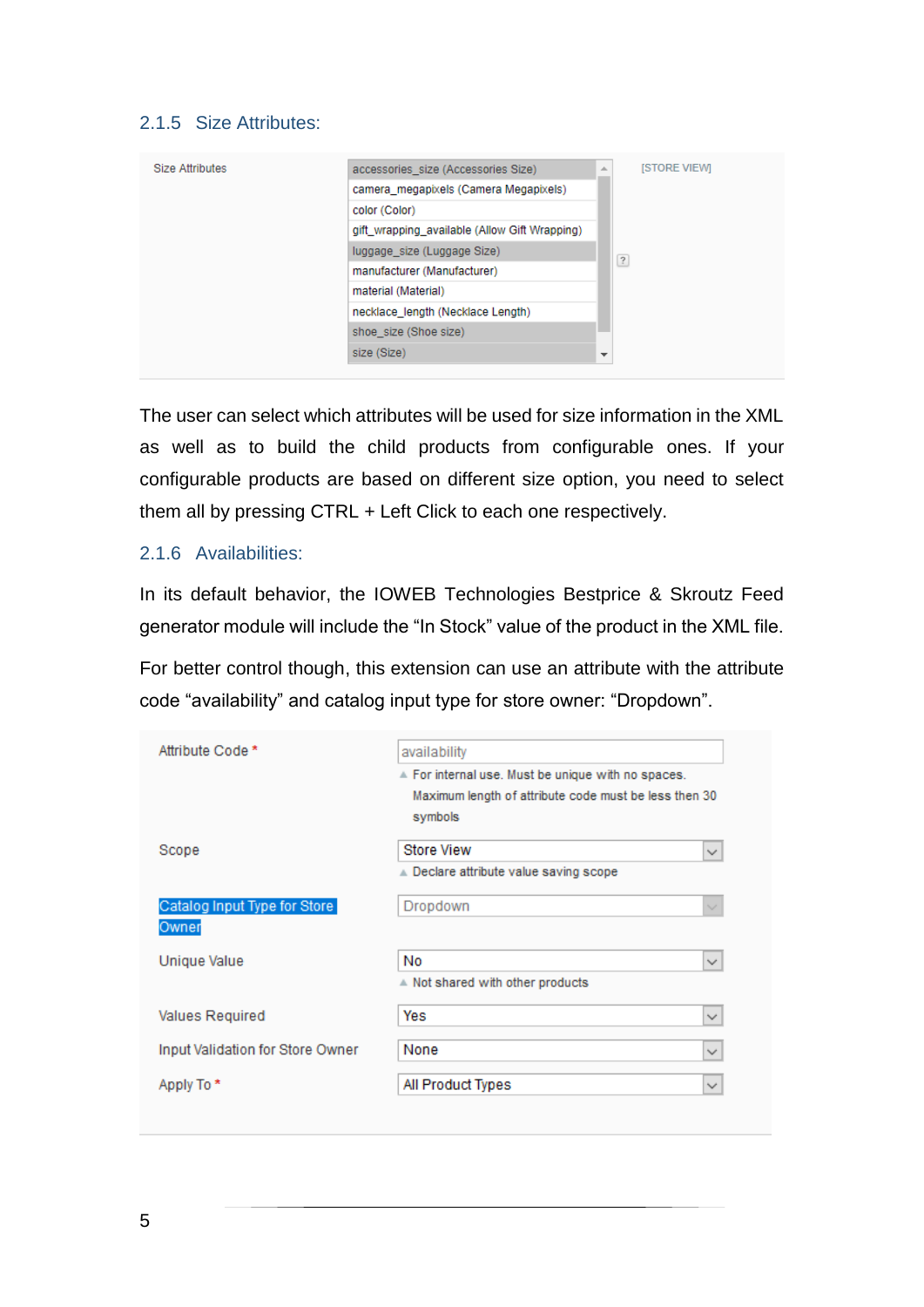# <span id="page-4-0"></span>2.1.5 Size Attributes:

| <b>Size Attributes</b> | accessories_size (Accessories Size)<br>a.     | <b>ISTORE VIEWI</b> |
|------------------------|-----------------------------------------------|---------------------|
|                        | camera_megapixels (Camera Megapixels)         |                     |
|                        | color (Color)                                 |                     |
|                        | gift_wrapping_available (Allow Gift Wrapping) |                     |
|                        | luggage_size (Luggage Size)                   | $\overline{?}$      |
|                        | manufacturer (Manufacturer)                   |                     |
|                        | material (Material)                           |                     |
|                        | necklace length (Necklace Length)             |                     |
|                        | shoe size (Shoe size)                         |                     |
|                        | size (Size)<br>$\overline{\phantom{a}}$       |                     |

The user can select which attributes will be used for size information in the XML as well as to build the child products from configurable ones. If your configurable products are based on different size option, you need to select them all by pressing CTRL + Left Click to each one respectively.

#### <span id="page-4-1"></span>2.1.6 Availabilities:

In its default behavior, the IOWEB Technologies Bestprice & Skroutz Feed generator module will include the "In Stock" value of the product in the XML file.

For better control though, this extension can use an attribute with the attribute code "availability" and catalog input type for store owner: "Dropdown".

| Attribute Code *                 | availability                                          |              |
|----------------------------------|-------------------------------------------------------|--------------|
|                                  | A For internal use. Must be unique with no spaces.    |              |
|                                  | Maximum length of attribute code must be less then 30 |              |
|                                  | symbols                                               |              |
| Scope                            | <b>Store View</b>                                     | $\checkmark$ |
|                                  | ▲ Declare attribute value saving scope                |              |
| Catalog Input Type for Store     | Dropdown                                              | $\sim$       |
| Owner                            |                                                       |              |
| Unique Value                     | No                                                    | $\checkmark$ |
|                                  | A Not shared with other products                      |              |
| Values Required                  | Yes                                                   | $\checkmark$ |
| Input Validation for Store Owner | None                                                  | $\checkmark$ |
|                                  |                                                       |              |
| Apply To *                       | All Product Types                                     | $\checkmark$ |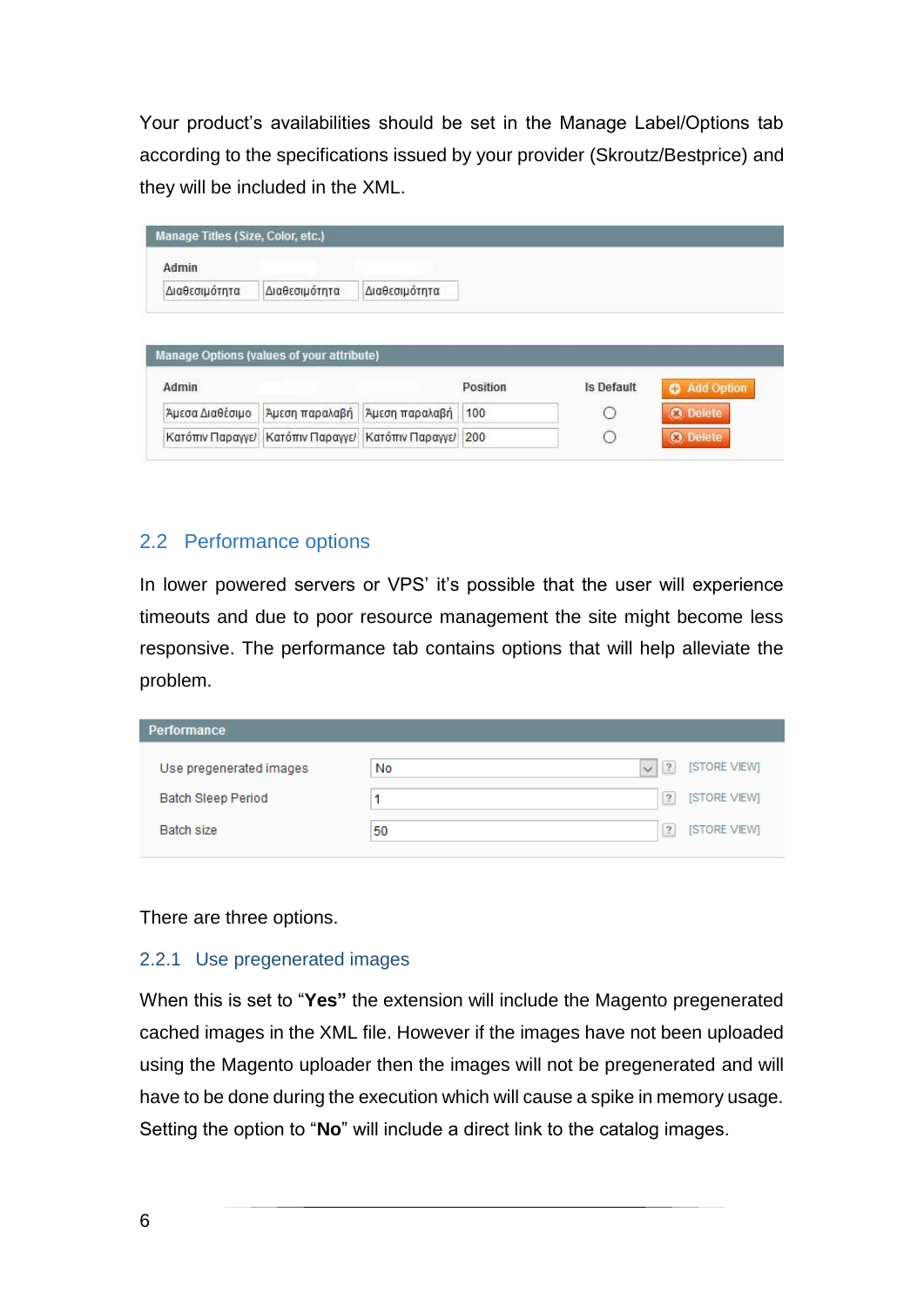Your product's availabilities should be set in the Manage Label/Options tab according to the specifications issued by your provider (Skroutz/Bestprice) and they will be included in the XML.

| Admin                    |                                           |                |          |            |                               |
|--------------------------|-------------------------------------------|----------------|----------|------------|-------------------------------|
| Διαθεσιμότητα            | Διαθεσιμότητα                             | Διαθεσιμότητα  |          |            |                               |
|                          | Manage Options (values of your attribute) |                |          |            |                               |
|                          |                                           |                | Position | Is Default |                               |
| Admin<br>Άμεσα Διαθέσιμο | Άμεση παραλαβή                            | Άμεση παραλαβή | 100      | O          | Add Option<br><b>O</b> Delete |

## <span id="page-5-0"></span>2.2 Performance options

In lower powered servers or VPS' it's possible that the user will experience timeouts and due to poor resource management the site might become less responsive. The performance tab contains options that will help alleviate the problem.

| <b>Performance</b>        |    |                                                        |
|---------------------------|----|--------------------------------------------------------|
| Use pregenerated images   | No | [STORE VIEW]<br>$\left  \cdot \right $<br>$\checkmark$ |
| <b>Batch Sleep Period</b> |    | [STORE VIEW]<br>$\overline{?}$                         |
| Batch size                | 50 | [STORE VIEW]<br>$\overline{?}$                         |

There are three options.

#### <span id="page-5-1"></span>2.2.1 Use pregenerated images

When this is set to "**Yes"** the extension will include the Magento pregenerated cached images in the XML file. However if the images have not been uploaded using the Magento uploader then the images will not be pregenerated and will have to be done during the execution which will cause a spike in memory usage. Setting the option to "**No**" will include a direct link to the catalog images.